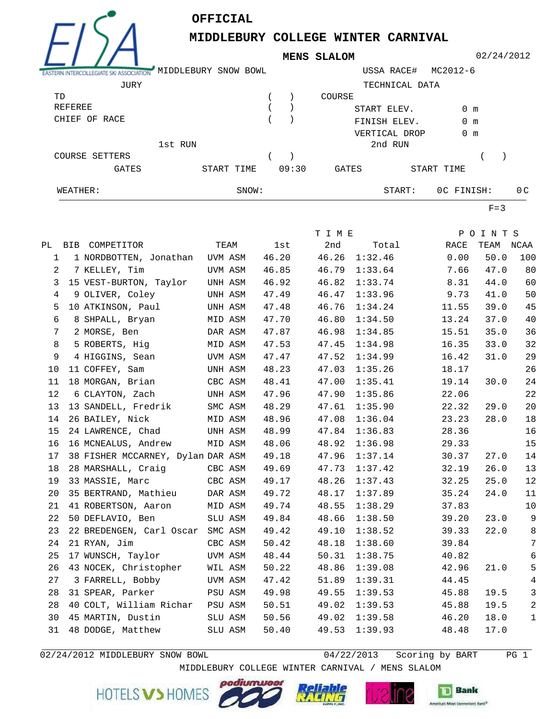

**OFFICIAL**

**MIDDLEBURY COLLEGE WINTER CARNIVAL**

**MENS SLALOM**

| EASTERN INTERCOLLEGIATE SKI ASSOCIATION MIDDLEBURY SNOW BOWL |                          |                                   |         |                     |       | USSA RACE#<br>MC2012-6 |                             |               |  |               |           |                         |  |
|--------------------------------------------------------------|--------------------------|-----------------------------------|---------|---------------------|-------|------------------------|-----------------------------|---------------|--|---------------|-----------|-------------------------|--|
| JURY                                                         |                          |                                   |         |                     |       |                        | TECHNICAL DATA              |               |  |               |           |                         |  |
|                                                              | TD                       |                                   |         |                     |       |                        |                             | COURSE        |  |               |           |                         |  |
|                                                              | REFEREE<br>CHIEF OF RACE |                                   |         |                     |       |                        | START ELEV.<br>FINISH ELEV. |               |  | $0 \text{ m}$ |           |                         |  |
|                                                              |                          |                                   |         |                     |       |                        |                             |               |  | 0 m           |           |                         |  |
|                                                              |                          |                                   |         |                     |       |                        | VERTICAL DROP               |               |  | 0 m           |           |                         |  |
|                                                              |                          | 1st RUN                           |         |                     |       |                        |                             | 2nd RUN       |  |               |           |                         |  |
| COURSE SETTERS                                               |                          |                                   |         | $\left( \right)$    |       |                        |                             |               |  | $\rightarrow$ |           |                         |  |
|                                                              | GATES<br>WEATHER:        |                                   |         | 09:30<br>START TIME |       |                        | GATES                       |               |  | START TIME    |           |                         |  |
|                                                              |                          |                                   |         | SNOW:               |       |                        |                             |               |  |               |           |                         |  |
|                                                              |                          |                                   |         |                     |       |                        | START:                      |               |  | OC FINISH:    |           | 0 <sup>C</sup>          |  |
|                                                              |                          |                                   |         |                     |       |                        |                             |               |  |               | $F = 3$   |                         |  |
|                                                              |                          |                                   |         |                     |       |                        | T I M E                     |               |  |               | POINTS    |                         |  |
| PL                                                           |                          | BIB COMPETITOR                    |         | TEAM                | 1st   |                        | 2nd                         | Total         |  | RACE          | TEAM NCAA |                         |  |
| 1                                                            |                          | 1 NORDBOTTEN, Jonathan UVM ASM    |         |                     | 46.20 |                        | 46.26                       | 1:32.46       |  | 0.00          | 50.0      | 100                     |  |
| 2                                                            |                          | 7 KELLEY, Tim                     | UVM ASM |                     | 46.85 |                        |                             | 46.79 1:33.64 |  | 7.66          | 47.0      | 80                      |  |
| 3                                                            |                          | 15 VEST-BURTON, Taylor            | UNH ASM |                     | 46.92 |                        | 46.82                       | 1:33.74       |  | 8.31          | 44.0      | 60                      |  |
| 4                                                            |                          | 9 OLIVER, Coley                   | UNH ASM |                     | 47.49 |                        | 46.47                       | 1:33.96       |  | 9.73          | 41.0      | 50                      |  |
| 5                                                            |                          | 10 ATKINSON, Paul                 | UNH ASM |                     | 47.48 |                        | 46.76                       | 1:34.24       |  | 11.55         | 39.0      | 45                      |  |
| 6                                                            |                          | 8 SHPALL, Bryan                   | MID ASM |                     | 47.70 |                        | 46.80                       | 1:34.50       |  | 13.24         | 37.0      | 40                      |  |
| 7                                                            |                          | 2 MORSE, Ben                      | DAR ASM |                     | 47.87 |                        | 46.98                       | 1:34.85       |  | 15.51         | 35.0      | 36                      |  |
| 8                                                            |                          | 5 ROBERTS, Hig                    | MID ASM |                     | 47.53 |                        | 47.45                       | 1:34.98       |  | 16.35         | 33.0      | 32                      |  |
| $\mathsf 9$                                                  |                          | 4 HIGGINS, Sean                   | UVM ASM |                     | 47.47 |                        | 47.52                       | 1:34.99       |  | 16.42         | 31.0      | 29                      |  |
| 10                                                           |                          | 11 COFFEY, Sam                    | UNH ASM |                     | 48.23 |                        | 47.03                       | 1:35.26       |  | 18.17         |           | 26                      |  |
| 11                                                           |                          | 18 MORGAN, Brian                  |         | CBC ASM             | 48.41 |                        | 47.00                       | 1:35.41       |  | 19.14         | 30.0      | 24                      |  |
| 12                                                           |                          | 6 CLAYTON, Zach                   | UNH ASM |                     | 47.96 |                        | 47.90                       | 1:35.86       |  | 22.06         |           | 22                      |  |
| 13                                                           |                          | 13 SANDELL, Fredrik               |         | SMC ASM             | 48.29 |                        | 47.61                       | 1:35.90       |  | 22.32         | 29.0      | 20                      |  |
| 14                                                           |                          | 26 BAILEY, Nick                   | MID ASM |                     | 48.96 |                        | 47.08                       | 1:36.04       |  | 23.23         | 28.0      | 18                      |  |
| 15                                                           |                          | 24 LAWRENCE, Chad                 | UNH ASM |                     | 48.99 |                        | 47.84                       | 1:36.83       |  | 28.36         |           | 16                      |  |
| 16                                                           |                          | 16 MCNEALUS, Andrew               |         | MID ASM             | 48.06 |                        |                             | 48.92 1:36.98 |  | 29.33         |           | 15                      |  |
| 17                                                           |                          | 38 FISHER MCCARNEY, Dylan DAR ASM |         |                     | 49.18 |                        | 47.96                       | 1:37.14       |  | 30.37         | 27.0      | 14                      |  |
|                                                              |                          | 18 28 MARSHALL, Craig CBC ASM     |         |                     | 49.69 |                        |                             | 47.73 1:37.42 |  | 32.19         | 26.0      | 13                      |  |
| 19                                                           |                          | 33 MASSIE, Marc                   | CBC ASM |                     | 49.17 |                        |                             | 48.26 1:37.43 |  | 32.25         | 25.0      | 12                      |  |
| 20                                                           |                          | 35 BERTRAND, Mathieu DAR ASM      |         |                     |       | 49.72                  |                             | 48.17 1:37.89 |  | 35.24         | 24.0      | 11                      |  |
| 21                                                           |                          | 41 ROBERTSON, Aaron MID ASM       |         |                     |       | 49.74                  | 48.55                       | 1:38.29       |  | 37.83         |           | 10                      |  |
| 22                                                           |                          | 50 DEFLAVIO, Ben                  |         | SLU ASM             | 49.84 |                        | 48.66                       | 1:38.50       |  | 39.20         | 23.0      | 9                       |  |
| 23                                                           |                          | 22 BREDENGEN, Carl Oscar SMC ASM  |         |                     | 49.42 |                        | 49.10                       | 1:38.52       |  | 39.33         | 22.0      | 8                       |  |
| 24                                                           |                          | 21 RYAN, Jim                      |         | CBC ASM             | 50.42 |                        | 48.18                       | 1:38.60       |  | 39.84         |           | 7                       |  |
| 25                                                           |                          | 17 WUNSCH, Taylor                 | UVM ASM |                     | 48.44 |                        | 50.31                       | 1:38.75       |  | 40.82         |           | 6                       |  |
| 26                                                           |                          | 43 NOCEK, Christopher WIL ASM     |         |                     | 50.22 |                        | 48.86                       | 1:39.08       |  | 42.96         | 21.0      | 5                       |  |
| 27                                                           |                          | 3 FARRELL, Bobby                  | UVM ASM |                     | 47.42 |                        | 51.89                       | 1:39.31       |  | 44.45         |           | $\overline{4}$          |  |
| 28                                                           |                          | 31 SPEAR, Parker PSU ASM          |         |                     | 49.98 |                        | 49.55                       | 1:39.53       |  | 45.88         | 19.5      | 3                       |  |
| 28                                                           |                          | 40 COLT, William Richar           |         | PSU ASM             | 50.51 |                        | 49.02                       | 1:39.53       |  | 45.88         | 19.5      | $\overline{\mathbf{c}}$ |  |
| 30                                                           |                          | 45 MARTIN, Dustin                 |         | SLU ASM             | 50.56 |                        | 49.02                       | 1:39.58       |  | 46.20         | 18.0      | 1                       |  |
|                                                              |                          | 31 48 DODGE, Matthew              | SLU ASM |                     | 50.40 |                        |                             | 49.53 1:39.93 |  | 48.48         | 17.0      |                         |  |

02/24/2012 MIDDLEBURY SNOW BOWL 604/22/2013 Scoring by BART 6 PG 1

02/24/2012

HOTELS V > HOMES





MIDDLEBURY COLLEGE WINTER CARNIVAL / MENS SLALOM